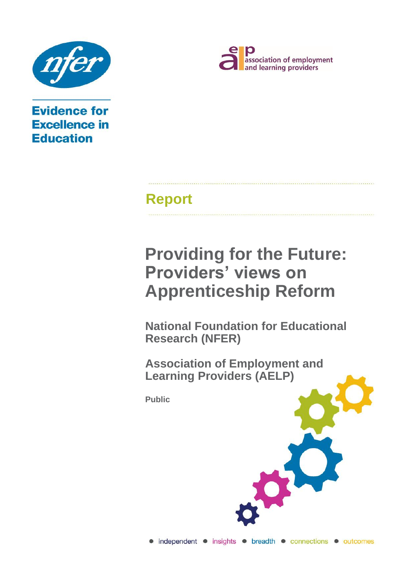

**Evidence for Excellence in Education** 



# **Report**

# **Providing for the Future: Providers' views on Apprenticeship Reform**

**National Foundation for Educational Research (NFER)**

**Association of Employment and Learning Providers (AELP)**

**Public**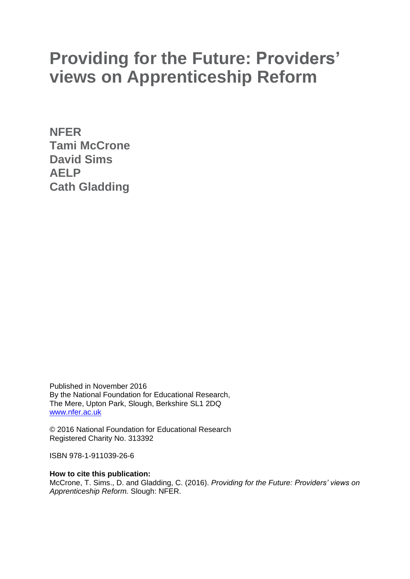# **Providing for the Future: Providers' views on Apprenticeship Reform**

**NFER Tami McCrone David Sims AELP Cath Gladding**

Published in November 2016 By the National Foundation for Educational Research, The Mere, Upton Park, Slough, Berkshire SL1 2DQ [www.nfer.ac.uk](http://www.nfer.ac.uk/)

© 2016 National Foundation for Educational Research Registered Charity No. 313392

ISBN 978-1-911039-26-6

**How to cite this publication:**

McCrone, T. Sims., D. and Gladding, C. (2016). *Providing for the Future: Providers' views on Apprenticeship Reform.* Slough: NFER.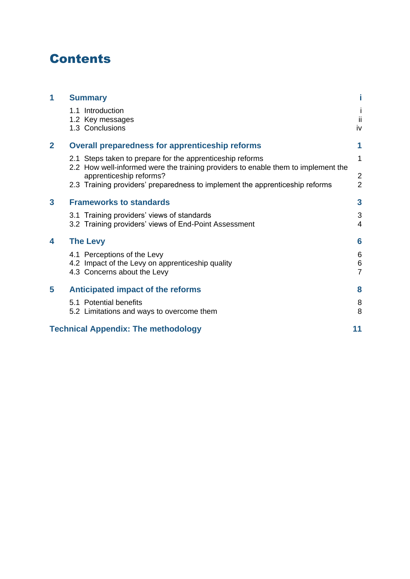## **Contents**

| 1                       | <b>Summary</b>                                                                                                                                 |                                  |
|-------------------------|------------------------------------------------------------------------------------------------------------------------------------------------|----------------------------------|
|                         | 1.1 Introduction<br>1.2 Key messages<br>1.3 Conclusions                                                                                        | ii<br>iv                         |
| $\overline{2}$          | <b>Overall preparedness for apprenticeship reforms</b>                                                                                         | 1                                |
|                         | 2.1 Steps taken to prepare for the apprenticeship reforms<br>2.2 How well-informed were the training providers to enable them to implement the | 1                                |
|                         | apprenticeship reforms?<br>2.3 Training providers' preparedness to implement the apprenticeship reforms                                        | $\overline{2}$<br>$\overline{2}$ |
| $\overline{\mathbf{3}}$ | <b>Frameworks to standards</b>                                                                                                                 | $\overline{\mathbf{3}}$          |
|                         | 3.1 Training providers' views of standards<br>3.2 Training providers' views of End-Point Assessment                                            | $\sqrt{3}$<br>$\overline{4}$     |
| 4                       | <b>The Levy</b>                                                                                                                                | $6\phantom{1}6$                  |
|                         | 4.1 Perceptions of the Levy<br>4.2 Impact of the Levy on apprenticeship quality<br>4.3 Concerns about the Levy                                 | 6<br>$\,6$<br>$\overline{7}$     |
| 5                       | Anticipated impact of the reforms                                                                                                              | 8                                |
|                         | 5.1 Potential benefits<br>5.2 Limitations and ways to overcome them                                                                            | 8<br>8                           |
|                         | <b>Technical Appendix: The methodology</b>                                                                                                     | 11                               |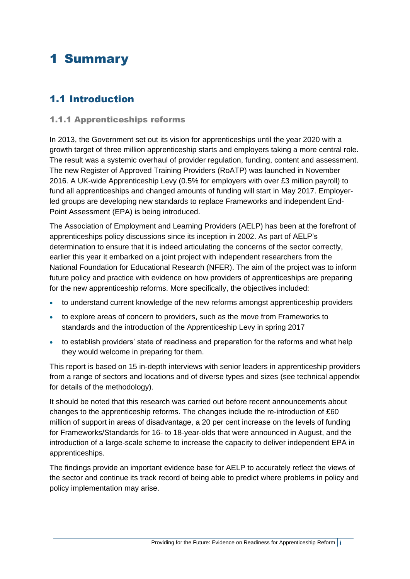## <span id="page-4-0"></span>1 Summary

### <span id="page-4-1"></span>1.1 Introduction

#### 1.1.1 Apprenticeships reforms

In 2013, the Government set out its vision for apprenticeships until the year 2020 with a growth target of three million apprenticeship starts and employers taking a more central role. The result was a systemic overhaul of provider regulation, funding, content and assessment. The new Register of Approved Training Providers (RoATP) was launched in November 2016. A UK-wide Apprenticeship Levy (0.5% for employers with over £3 million payroll) to fund all apprenticeships and changed amounts of funding will start in May 2017. Employerled groups are developing new standards to replace Frameworks and independent End-Point Assessment (EPA) is being introduced.

The Association of Employment and Learning Providers (AELP) has been at the forefront of apprenticeships policy discussions since its inception in 2002. As part of AELP's determination to ensure that it is indeed articulating the concerns of the sector correctly, earlier this year it embarked on a joint project with independent researchers from the National Foundation for Educational Research (NFER). The aim of the project was to inform future policy and practice with evidence on how providers of apprenticeships are preparing for the new apprenticeship reforms. More specifically, the objectives included:

- to understand current knowledge of the new reforms amongst apprenticeship providers
- to explore areas of concern to providers, such as the move from Frameworks to standards and the introduction of the Apprenticeship Levy in spring 2017
- to establish providers' state of readiness and preparation for the reforms and what help they would welcome in preparing for them.

This report is based on 15 in-depth interviews with senior leaders in apprenticeship providers from a range of sectors and locations and of diverse types and sizes (see technical appendix for details of the methodology).

It should be noted that this research was carried out before recent announcements about changes to the apprenticeship reforms. The changes include the re-introduction of £60 million of support in areas of disadvantage, a 20 per cent increase on the levels of funding for Frameworks/Standards for 16- to 18-year-olds that were announced in August, and the introduction of a large-scale scheme to increase the capacity to deliver independent EPA in apprenticeships.

The findings provide an important evidence base for AELP to accurately reflect the views of the sector and continue its track record of being able to predict where problems in policy and policy implementation may arise.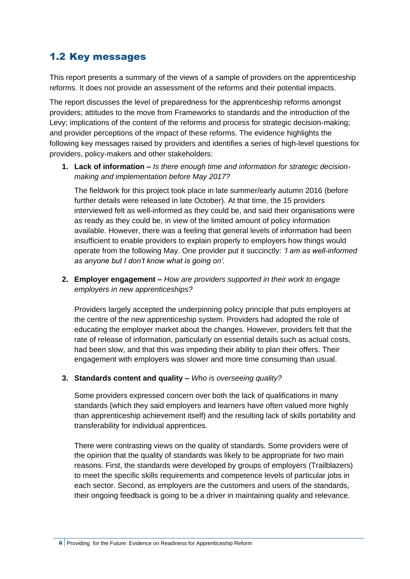### <span id="page-5-0"></span>1.2 Key messages

This report presents a summary of the views of a sample of providers on the apprenticeship reforms. It does not provide an assessment of the reforms and their potential impacts.

The report discusses the level of preparedness for the apprenticeship reforms amongst providers; attitudes to the move from Frameworks to standards and the introduction of the Levy; implications of the content of the reforms and process for strategic decision-making; and provider perceptions of the impact of these reforms. The evidence highlights the following key messages raised by providers and identifies a series of high-level questions for providers, policy-makers and other stakeholders:

**1. Lack of information –** *Is there enough time and information for strategic decisionmaking and implementation before May 2017?*

The fieldwork for this project took place in late summer/early autumn 2016 (before further details were released in late October). At that time, the 15 providers interviewed felt as well-informed as they could be, and said their organisations were as ready as they could be, in view of the limited amount of policy information available. However, there was a feeling that general levels of information had been insufficient to enable providers to explain properly to employers how things would operate from the following May. One provider put it succinctly: *'I am as well-informed as anyone but I don't know what is going on'.*

**2. Employer engagement –** *How are providers supported in their work to engage employers in new apprenticeships?*

Providers largely accepted the underpinning policy principle that puts employers at the centre of the new apprenticeship system. Providers had adopted the role of educating the employer market about the changes. However, providers felt that the rate of release of information, particularly on essential details such as actual costs, had been slow, and that this was impeding their ability to plan their offers. Their engagement with employers was slower and more time consuming than usual.

#### **3. Standards content and quality –** *Who is overseeing quality?*

Some providers expressed concern over both the lack of qualifications in many standards (which they said employers and learners have often valued more highly than apprenticeship achievement itself) and the resulting lack of skills portability and transferability for individual apprentices.

There were contrasting views on the quality of standards. Some providers were of the opinion that the quality of standards was likely to be appropriate for two main reasons. First, the standards were developed by groups of employers (Trailblazers) to meet the specific skills requirements and competence levels of particular jobs in each sector. Second, as employers are the customers and users of the standards, their ongoing feedback is going to be a driver in maintaining quality and relevance.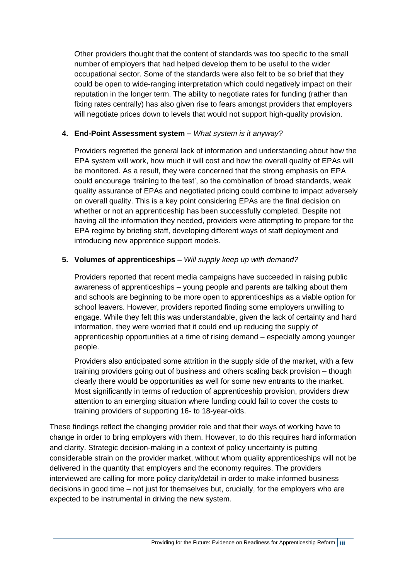Other providers thought that the content of standards was too specific to the small number of employers that had helped develop them to be useful to the wider occupational sector. Some of the standards were also felt to be so brief that they could be open to wide-ranging interpretation which could negatively impact on their reputation in the longer term. The ability to negotiate rates for funding (rather than fixing rates centrally) has also given rise to fears amongst providers that employers will negotiate prices down to levels that would not support high-quality provision.

#### **4. End-Point Assessment system –** *What system is it anyway?*

Providers regretted the general lack of information and understanding about how the EPA system will work, how much it will cost and how the overall quality of EPAs will be monitored. As a result, they were concerned that the strong emphasis on EPA could encourage 'training to the test', so the combination of broad standards, weak quality assurance of EPAs and negotiated pricing could combine to impact adversely on overall quality. This is a key point considering EPAs are the final decision on whether or not an apprenticeship has been successfully completed. Despite not having all the information they needed, providers were attempting to prepare for the EPA regime by briefing staff, developing different ways of staff deployment and introducing new apprentice support models.

#### **5. Volumes of apprenticeships –** *Will supply keep up with demand?*

Providers reported that recent media campaigns have succeeded in raising public awareness of apprenticeships – young people and parents are talking about them and schools are beginning to be more open to apprenticeships as a viable option for school leavers. However, providers reported finding some employers unwilling to engage. While they felt this was understandable, given the lack of certainty and hard information, they were worried that it could end up reducing the supply of apprenticeship opportunities at a time of rising demand – especially among younger people.

Providers also anticipated some attrition in the supply side of the market, with a few training providers going out of business and others scaling back provision – though clearly there would be opportunities as well for some new entrants to the market. Most significantly in terms of reduction of apprenticeship provision, providers drew attention to an emerging situation where funding could fail to cover the costs to training providers of supporting 16- to 18-year-olds.

These findings reflect the changing provider role and that their ways of working have to change in order to bring employers with them. However, to do this requires hard information and clarity. Strategic decision-making in a context of policy uncertainty is putting considerable strain on the provider market, without whom quality apprenticeships will not be delivered in the quantity that employers and the economy requires. The providers interviewed are calling for more policy clarity/detail in order to make informed business decisions in good time – not just for themselves but, crucially, for the employers who are expected to be instrumental in driving the new system.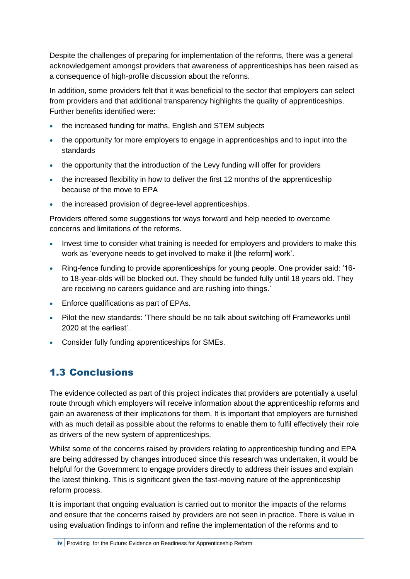Despite the challenges of preparing for implementation of the reforms, there was a general acknowledgement amongst providers that awareness of apprenticeships has been raised as a consequence of high-profile discussion about the reforms.

In addition, some providers felt that it was beneficial to the sector that employers can select from providers and that additional transparency highlights the quality of apprenticeships. Further benefits identified were:

- the increased funding for maths, English and STEM subjects
- the opportunity for more employers to engage in apprenticeships and to input into the standards
- the opportunity that the introduction of the Levy funding will offer for providers
- the increased flexibility in how to deliver the first 12 months of the apprenticeship because of the move to EPA
- the increased provision of degree-level apprenticeships.

Providers offered some suggestions for ways forward and help needed to overcome concerns and limitations of the reforms.

- Invest time to consider what training is needed for employers and providers to make this work as 'everyone needs to get involved to make it [the reform] work'.
- Ring-fence funding to provide apprenticeships for young people. One provider said: '16 to 18-year-olds will be blocked out. They should be funded fully until 18 years old. They are receiving no careers guidance and are rushing into things.'
- Enforce qualifications as part of EPAs.
- Pilot the new standards: 'There should be no talk about switching off Frameworks until 2020 at the earliest'.
- Consider fully funding apprenticeships for SMEs.

### <span id="page-7-0"></span>1.3 Conclusions

The evidence collected as part of this project indicates that providers are potentially a useful route through which employers will receive information about the apprenticeship reforms and gain an awareness of their implications for them. It is important that employers are furnished with as much detail as possible about the reforms to enable them to fulfil effectively their role as drivers of the new system of apprenticeships.

Whilst some of the concerns raised by providers relating to apprenticeship funding and EPA are being addressed by changes introduced since this research was undertaken, it would be helpful for the Government to engage providers directly to address their issues and explain the latest thinking. This is significant given the fast-moving nature of the apprenticeship reform process.

It is important that ongoing evaluation is carried out to monitor the impacts of the reforms and ensure that the concerns raised by providers are not seen in practice. There is value in using evaluation findings to inform and refine the implementation of the reforms and to

iv Providing for the Future: Evidence on Readiness for Apprenticeship Reform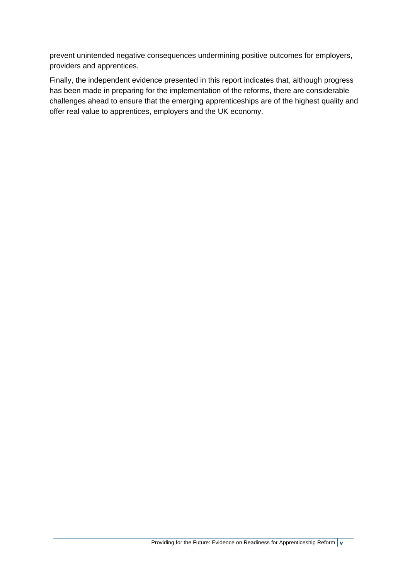prevent unintended negative consequences undermining positive outcomes for employers, providers and apprentices.

Finally, the independent evidence presented in this report indicates that, although progress has been made in preparing for the implementation of the reforms, there are considerable challenges ahead to ensure that the emerging apprenticeships are of the highest quality and offer real value to apprentices, employers and the UK economy.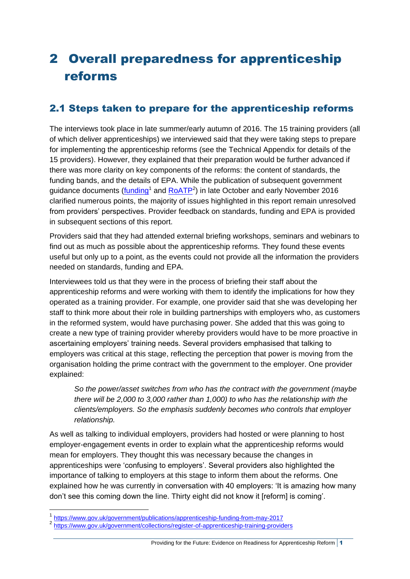## <span id="page-9-0"></span>2 Overall preparedness for apprenticeship reforms

### <span id="page-9-1"></span>2.1 Steps taken to prepare for the apprenticeship reforms

The interviews took place in late summer/early autumn of 2016. The 15 training providers (all of which deliver apprenticeships) we interviewed said that they were taking steps to prepare for implementing the apprenticeship reforms (see the Technical Appendix for details of the 15 providers). However, they explained that their preparation would be further advanced if there was more clarity on key components of the reforms: the content of standards, the funding bands, and the details of EPA. While the publication of subsequent government guidance documents (*funding*<sup>1</sup> and **RoATP**<sup>2</sup>) in late October and early November 2016 clarified numerous points, the majority of issues highlighted in this report remain unresolved from providers' perspectives. Provider feedback on standards, funding and EPA is provided in subsequent sections of this report.

Providers said that they had attended external briefing workshops, seminars and webinars to find out as much as possible about the apprenticeship reforms. They found these events useful but only up to a point, as the events could not provide all the information the providers needed on standards, funding and EPA.

Interviewees told us that they were in the process of briefing their staff about the apprenticeship reforms and were working with them to identify the implications for how they operated as a training provider. For example, one provider said that she was developing her staff to think more about their role in building partnerships with employers who, as customers in the reformed system, would have purchasing power. She added that this was going to create a new type of training provider whereby providers would have to be more proactive in ascertaining employers' training needs. Several providers emphasised that talking to employers was critical at this stage, reflecting the perception that power is moving from the organisation holding the prime contract with the government to the employer. One provider explained:

*So the power/asset switches from who has the contract with the government (maybe there will be 2,000 to 3,000 rather than 1,000) to who has the relationship with the clients/employers. So the emphasis suddenly becomes who controls that employer relationship.*

As well as talking to individual employers, providers had hosted or were planning to host employer-engagement events in order to explain what the apprenticeship reforms would mean for employers. They thought this was necessary because the changes in apprenticeships were 'confusing to employers'. Several providers also highlighted the importance of talking to employers at this stage to inform them about the reforms. One explained how he was currently in conversation with 40 employers: 'It is amazing how many don't see this coming down the line. Thirty eight did not know it [reform] is coming'.

1

<sup>1&</sup>lt;br><https://www.gov.uk/government/publications/apprenticeship-funding-from-may-2017><br>2 https://www.gov.uk/government/cellections/serieter.of.goprentiesebip.treibips.provid

<https://www.gov.uk/government/collections/register-of-apprenticeship-training-providers>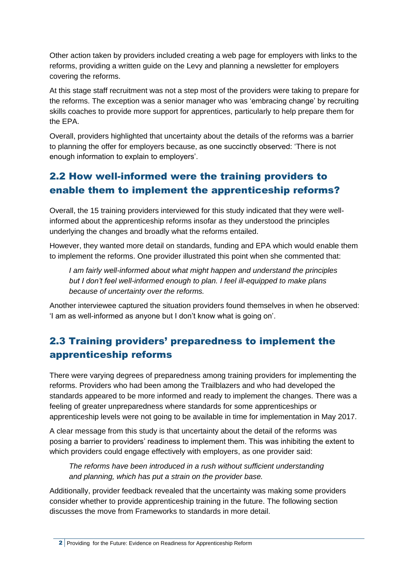Other action taken by providers included creating a web page for employers with links to the reforms, providing a written guide on the Levy and planning a newsletter for employers covering the reforms.

At this stage staff recruitment was not a step most of the providers were taking to prepare for the reforms. The exception was a senior manager who was 'embracing change' by recruiting skills coaches to provide more support for apprentices, particularly to help prepare them for the EPA.

Overall, providers highlighted that uncertainty about the details of the reforms was a barrier to planning the offer for employers because, as one succinctly observed: 'There is not enough information to explain to employers'.

### <span id="page-10-0"></span>2.2 How well-informed were the training providers to enable them to implement the apprenticeship reforms?

Overall, the 15 training providers interviewed for this study indicated that they were wellinformed about the apprenticeship reforms insofar as they understood the principles underlying the changes and broadly what the reforms entailed.

However, they wanted more detail on standards, funding and EPA which would enable them to implement the reforms. One provider illustrated this point when she commented that:

*I am fairly well-informed about what might happen and understand the principles but I don't feel well-informed enough to plan. I feel ill-equipped to make plans because of uncertainty over the reforms.* 

Another interviewee captured the situation providers found themselves in when he observed: 'I am as well-informed as anyone but I don't know what is going on'.

### <span id="page-10-1"></span>2.3 Training providers' preparedness to implement the apprenticeship reforms

There were varying degrees of preparedness among training providers for implementing the reforms. Providers who had been among the Trailblazers and who had developed the standards appeared to be more informed and ready to implement the changes. There was a feeling of greater unpreparedness where standards for some apprenticeships or apprenticeship levels were not going to be available in time for implementation in May 2017.

A clear message from this study is that uncertainty about the detail of the reforms was posing a barrier to providers' readiness to implement them. This was inhibiting the extent to which providers could engage effectively with employers, as one provider said:

*The reforms have been introduced in a rush without sufficient understanding and planning, which has put a strain on the provider base.*

Additionally, provider feedback revealed that the uncertainty was making some providers consider whether to provide apprenticeship training in the future. The following section discusses the move from Frameworks to standards in more detail.

<sup>2</sup> Providing for the Future: Evidence on Readiness for Apprenticeship Reform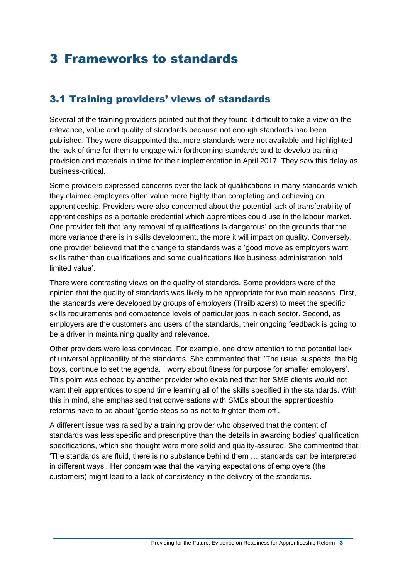## <span id="page-11-0"></span>3 Frameworks to standards

### <span id="page-11-1"></span>3.1 Training providers' views of standards

Several of the training providers pointed out that they found it difficult to take a view on the relevance, value and quality of standards because not enough standards had been published. They were disappointed that more standards were not available and highlighted the lack of time for them to engage with forthcoming standards and to develop training provision and materials in time for their implementation in April 2017. They saw this delay as business-critical.

Some providers expressed concerns over the lack of qualifications in many standards which they claimed employers often value more highly than completing and achieving an apprenticeship. Providers were also concerned about the potential lack of transferability of apprenticeships as a portable credential which apprentices could use in the labour market. One provider felt that 'any removal of qualifications is dangerous' on the grounds that the more variance there is in skills development, the more it will impact on quality. Conversely, one provider believed that the change to standards was a 'good move as employers want skills rather than qualifications and some qualifications like business administration hold limited value'.

There were contrasting views on the quality of standards. Some providers were of the opinion that the quality of standards was likely to be appropriate for two main reasons. First, the standards were developed by groups of employers (Trailblazers) to meet the specific skills requirements and competence levels of particular jobs in each sector. Second, as employers are the customers and users of the standards, their ongoing feedback is going to be a driver in maintaining quality and relevance.

Other providers were less convinced. For example, one drew attention to the potential lack of universal applicability of the standards. She commented that: 'The usual suspects, the big boys, continue to set the agenda. I worry about fitness for purpose for smaller employers'. This point was echoed by another provider who explained that her SME clients would not want their apprentices to spend time learning all of the skills specified in the standards. With this in mind, she emphasised that conversations with SMEs about the apprenticeship reforms have to be about 'gentle steps so as not to frighten them off'.

A different issue was raised by a training provider who observed that the content of standards was less specific and prescriptive than the details in awarding bodies' qualification specifications, which she thought were more solid and quality-assured. She commented that: 'The standards are fluid, there is no substance behind them … standards can be interpreted in different ways'. Her concern was that the varying expectations of employers (the customers) might lead to a lack of consistency in the delivery of the standards.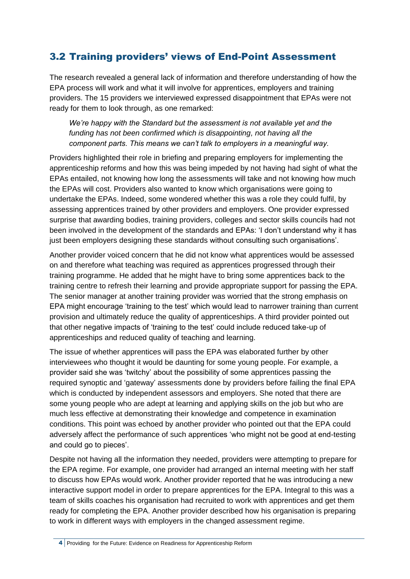### <span id="page-12-0"></span>3.2 Training providers' views of End-Point Assessment

The research revealed a general lack of information and therefore understanding of how the EPA process will work and what it will involve for apprentices, employers and training providers. The 15 providers we interviewed expressed disappointment that EPAs were not ready for them to look through, as one remarked:

*We're happy with the Standard but the assessment is not available yet and the funding has not been confirmed which is disappointing, not having all the component parts. This means we can't talk to employers in a meaningful way.* 

Providers highlighted their role in briefing and preparing employers for implementing the apprenticeship reforms and how this was being impeded by not having had sight of what the EPAs entailed, not knowing how long the assessments will take and not knowing how much the EPAs will cost. Providers also wanted to know which organisations were going to undertake the EPAs. Indeed, some wondered whether this was a role they could fulfil, by assessing apprentices trained by other providers and employers. One provider expressed surprise that awarding bodies, training providers, colleges and sector skills councils had not been involved in the development of the standards and EPAs: 'I don't understand why it has just been employers designing these standards without consulting such organisations'.

Another provider voiced concern that he did not know what apprentices would be assessed on and therefore what teaching was required as apprentices progressed through their training programme. He added that he might have to bring some apprentices back to the training centre to refresh their learning and provide appropriate support for passing the EPA. The senior manager at another training provider was worried that the strong emphasis on EPA might encourage 'training to the test' which would lead to narrower training than current provision and ultimately reduce the quality of apprenticeships. A third provider pointed out that other negative impacts of 'training to the test' could include reduced take-up of apprenticeships and reduced quality of teaching and learning.

The issue of whether apprentices will pass the EPA was elaborated further by other interviewees who thought it would be daunting for some young people. For example, a provider said she was 'twitchy' about the possibility of some apprentices passing the required synoptic and 'gateway' assessments done by providers before failing the final EPA which is conducted by independent assessors and employers. She noted that there are some young people who are adept at learning and applying skills on the job but who are much less effective at demonstrating their knowledge and competence in examination conditions. This point was echoed by another provider who pointed out that the EPA could adversely affect the performance of such apprentices 'who might not be good at end-testing and could go to pieces'.

Despite not having all the information they needed, providers were attempting to prepare for the EPA regime. For example, one provider had arranged an internal meeting with her staff to discuss how EPAs would work. Another provider reported that he was introducing a new interactive support model in order to prepare apprentices for the EPA. Integral to this was a team of skills coaches his organisation had recruited to work with apprentices and get them ready for completing the EPA. Another provider described how his organisation is preparing to work in different ways with employers in the changed assessment regime.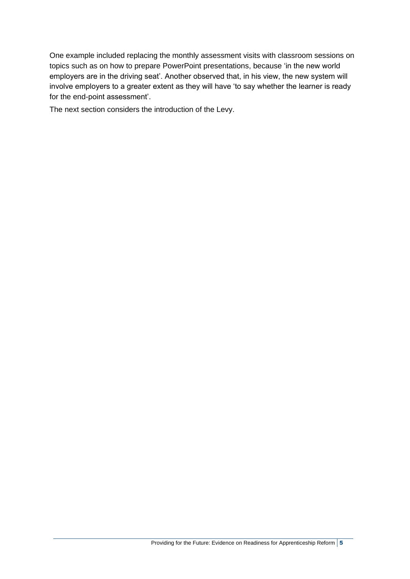One example included replacing the monthly assessment visits with classroom sessions on topics such as on how to prepare PowerPoint presentations, because 'in the new world employers are in the driving seat'. Another observed that, in his view, the new system will involve employers to a greater extent as they will have 'to say whether the learner is ready for the end-point assessment'.

The next section considers the introduction of the Levy.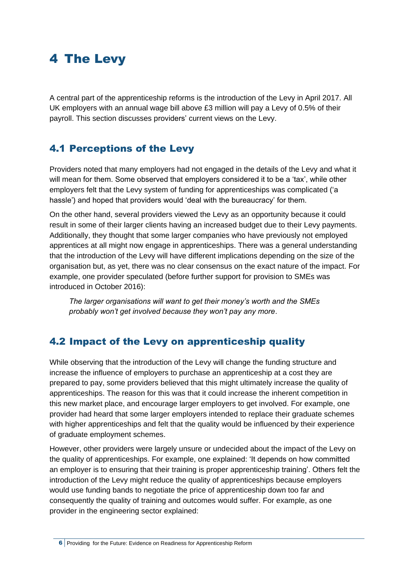## <span id="page-14-0"></span>4 The Levy

A central part of the apprenticeship reforms is the introduction of the Levy in April 2017. All UK employers with an annual wage bill above £3 million will pay a Levy of 0.5% of their payroll. This section discusses providers' current views on the Levy.

### <span id="page-14-1"></span>4.1 Perceptions of the Levy

Providers noted that many employers had not engaged in the details of the Levy and what it will mean for them. Some observed that employers considered it to be a 'tax', while other employers felt that the Levy system of funding for apprenticeships was complicated ('a hassle') and hoped that providers would 'deal with the bureaucracy' for them.

On the other hand, several providers viewed the Levy as an opportunity because it could result in some of their larger clients having an increased budget due to their Levy payments. Additionally, they thought that some larger companies who have previously not employed apprentices at all might now engage in apprenticeships. There was a general understanding that the introduction of the Levy will have different implications depending on the size of the organisation but, as yet, there was no clear consensus on the exact nature of the impact. For example, one provider speculated (before further support for provision to SMEs was introduced in October 2016):

*The larger organisations will want to get their money's worth and the SMEs probably won't get involved because they won't pay any more*.

### <span id="page-14-2"></span>4.2 Impact of the Levy on apprenticeship quality

While observing that the introduction of the Levy will change the funding structure and increase the influence of employers to purchase an apprenticeship at a cost they are prepared to pay, some providers believed that this might ultimately increase the quality of apprenticeships. The reason for this was that it could increase the inherent competition in this new market place, and encourage larger employers to get involved. For example, one provider had heard that some larger employers intended to replace their graduate schemes with higher apprenticeships and felt that the quality would be influenced by their experience of graduate employment schemes.

However, other providers were largely unsure or undecided about the impact of the Levy on the quality of apprenticeships. For example, one explained: 'It depends on how committed an employer is to ensuring that their training is proper apprenticeship training'. Others felt the introduction of the Levy might reduce the quality of apprenticeships because employers would use funding bands to negotiate the price of apprenticeship down too far and consequently the quality of training and outcomes would suffer. For example, as one provider in the engineering sector explained: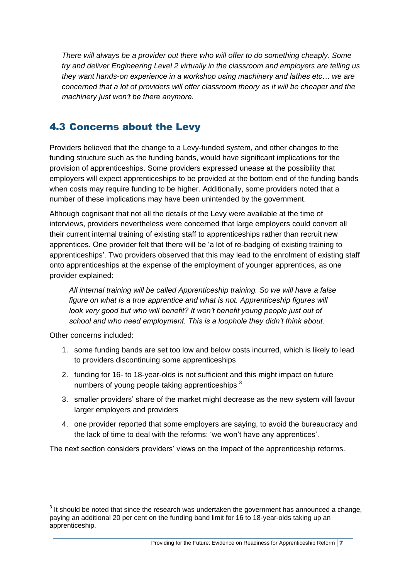*There will always be a provider out there who will offer to do something cheaply. Some try and deliver Engineering Level 2 virtually in the classroom and employers are telling us they want hands-on experience in a workshop using machinery and lathes etc… we are concerned that a lot of providers will offer classroom theory as it will be cheaper and the machinery just won't be there anymore.*

### <span id="page-15-0"></span>4.3 Concerns about the Levy

Providers believed that the change to a Levy-funded system, and other changes to the funding structure such as the funding bands, would have significant implications for the provision of apprenticeships. Some providers expressed unease at the possibility that employers will expect apprenticeships to be provided at the bottom end of the funding bands when costs may require funding to be higher. Additionally, some providers noted that a number of these implications may have been unintended by the government.

Although cognisant that not all the details of the Levy were available at the time of interviews, providers nevertheless were concerned that large employers could convert all their current internal training of existing staff to apprenticeships rather than recruit new apprentices. One provider felt that there will be 'a lot of re-badging of existing training to apprenticeships'. Two providers observed that this may lead to the enrolment of existing staff onto apprenticeships at the expense of the employment of younger apprentices, as one provider explained:

*All internal training will be called Apprenticeship training. So we will have a false figure on what is a true apprentice and what is not. Apprenticeship figures will* look very good but who will benefit? It won't benefit young people just out of *school and who need employment. This is a loophole they didn't think about.*

Other concerns included:

- 1. some funding bands are set too low and below costs incurred, which is likely to lead to providers discontinuing some apprenticeships
- 2. funding for 16- to 18-year-olds is not sufficient and this might impact on future numbers of young people taking apprenticeships <sup>3</sup>
- 3. smaller providers' share of the market might decrease as the new system will favour larger employers and providers
- 4. one provider reported that some employers are saying, to avoid the bureaucracy and the lack of time to deal with the reforms: 'we won't have any apprentices'.

The next section considers providers' views on the impact of the apprenticeship reforms.

<sup>1</sup>  $3$  It should be noted that since the research was undertaken the government has announced a change, paying an additional 20 per cent on the funding band limit for 16 to 18-year-olds taking up an apprenticeship.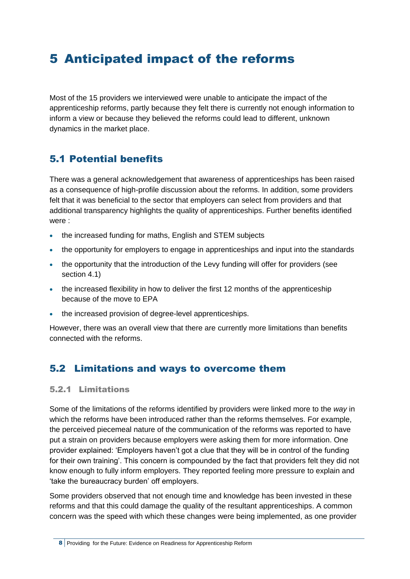## <span id="page-16-0"></span>5 Anticipated impact of the reforms

Most of the 15 providers we interviewed were unable to anticipate the impact of the apprenticeship reforms, partly because they felt there is currently not enough information to inform a view or because they believed the reforms could lead to different, unknown dynamics in the market place.

### <span id="page-16-1"></span>5.1 Potential benefits

There was a general acknowledgement that awareness of apprenticeships has been raised as a consequence of high-profile discussion about the reforms. In addition, some providers felt that it was beneficial to the sector that employers can select from providers and that additional transparency highlights the quality of apprenticeships. Further benefits identified were :

- the increased funding for maths, English and STEM subjects
- the opportunity for employers to engage in apprenticeships and input into the standards
- the opportunity that the introduction of the Levy funding will offer for providers (see section 4.1)
- the increased flexibility in how to deliver the first 12 months of the apprenticeship because of the move to EPA
- the increased provision of degree-level apprenticeships.

However, there was an overall view that there are currently more limitations than benefits connected with the reforms.

### <span id="page-16-2"></span>5.2 Limitations and ways to overcome them

#### 5.2.1 Limitations

Some of the limitations of the reforms identified by providers were linked more to the *way* in which the reforms have been introduced rather than the reforms themselves. For example, the perceived piecemeal nature of the communication of the reforms was reported to have put a strain on providers because employers were asking them for more information. One provider explained: 'Employers haven't got a clue that they will be in control of the funding for their own training'. This concern is compounded by the fact that providers felt they did not know enough to fully inform employers. They reported feeling more pressure to explain and 'take the bureaucracy burden' off employers.

Some providers observed that not enough time and knowledge has been invested in these reforms and that this could damage the quality of the resultant apprenticeships. A common concern was the speed with which these changes were being implemented, as one provider

<sup>8</sup> Providing for the Future: Evidence on Readiness for Apprenticeship Reform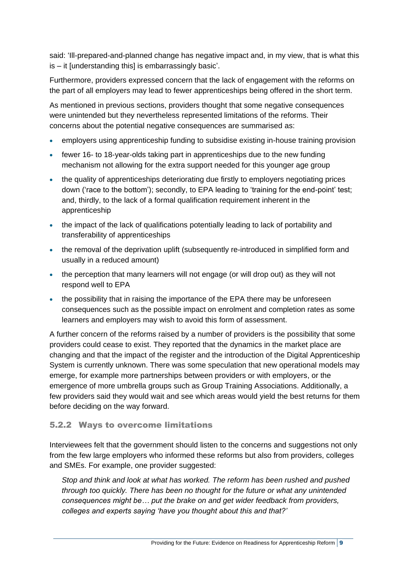said: 'Ill-prepared-and-planned change has negative impact and, in my view, that is what this is – it [understanding this] is embarrassingly basic'.

Furthermore, providers expressed concern that the lack of engagement with the reforms on the part of all employers may lead to fewer apprenticeships being offered in the short term.

As mentioned in previous sections, providers thought that some negative consequences were unintended but they nevertheless represented limitations of the reforms. Their concerns about the potential negative consequences are summarised as:

- employers using apprenticeship funding to subsidise existing in-house training provision
- fewer 16- to 18-year-olds taking part in apprenticeships due to the new funding mechanism not allowing for the extra support needed for this younger age group
- the quality of apprenticeships deteriorating due firstly to employers negotiating prices down ('race to the bottom'); secondly, to EPA leading to 'training for the end-point' test; and, thirdly, to the lack of a formal qualification requirement inherent in the apprenticeship
- the impact of the lack of qualifications potentially leading to lack of portability and transferability of apprenticeships
- the removal of the deprivation uplift (subsequently re-introduced in simplified form and usually in a reduced amount)
- the perception that many learners will not engage (or will drop out) as they will not respond well to EPA
- the possibility that in raising the importance of the EPA there may be unforeseen consequences such as the possible impact on enrolment and completion rates as some learners and employers may wish to avoid this form of assessment.

A further concern of the reforms raised by a number of providers is the possibility that some providers could cease to exist. They reported that the dynamics in the market place are changing and that the impact of the register and the introduction of the Digital Apprenticeship System is currently unknown. There was some speculation that new operational models may emerge, for example more partnerships between providers or with employers, or the emergence of more umbrella groups such as Group Training Associations. Additionally, a few providers said they would wait and see which areas would yield the best returns for them before deciding on the way forward.

#### 5.2.2 Ways to overcome limitations

Interviewees felt that the government should listen to the concerns and suggestions not only from the few large employers who informed these reforms but also from providers, colleges and SMEs. For example, one provider suggested:

*Stop and think and look at what has worked. The reform has been rushed and pushed through too quickly. There has been no thought for the future or what any unintended consequences might be… put the brake on and get wider feedback from providers, colleges and experts saying 'have you thought about this and that?'*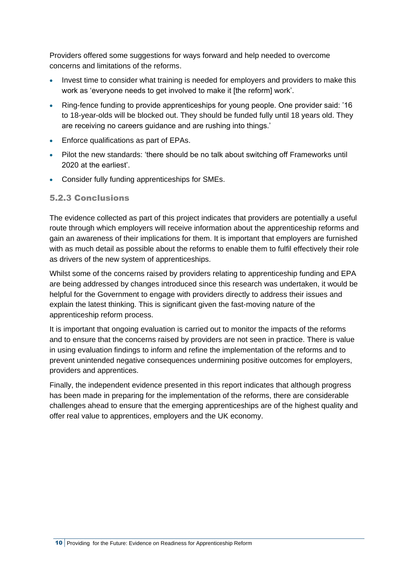Providers offered some suggestions for ways forward and help needed to overcome concerns and limitations of the reforms.

- Invest time to consider what training is needed for employers and providers to make this work as 'everyone needs to get involved to make it [the reform] work'.
- Ring-fence funding to provide apprenticeships for young people. One provider said: '16 to 18-year-olds will be blocked out. They should be funded fully until 18 years old. They are receiving no careers guidance and are rushing into things.'
- Enforce qualifications as part of EPAs.
- Pilot the new standards: 'there should be no talk about switching off Frameworks until 2020 at the earliest'.
- Consider fully funding apprenticeships for SMEs.

#### 5.2.3 Conclusions

The evidence collected as part of this project indicates that providers are potentially a useful route through which employers will receive information about the apprenticeship reforms and gain an awareness of their implications for them. It is important that employers are furnished with as much detail as possible about the reforms to enable them to fulfil effectively their role as drivers of the new system of apprenticeships.

Whilst some of the concerns raised by providers relating to apprenticeship funding and EPA are being addressed by changes introduced since this research was undertaken, it would be helpful for the Government to engage with providers directly to address their issues and explain the latest thinking. This is significant given the fast-moving nature of the apprenticeship reform process.

It is important that ongoing evaluation is carried out to monitor the impacts of the reforms and to ensure that the concerns raised by providers are not seen in practice. There is value in using evaluation findings to inform and refine the implementation of the reforms and to prevent unintended negative consequences undermining positive outcomes for employers, providers and apprentices.

Finally, the independent evidence presented in this report indicates that although progress has been made in preparing for the implementation of the reforms, there are considerable challenges ahead to ensure that the emerging apprenticeships are of the highest quality and offer real value to apprentices, employers and the UK economy.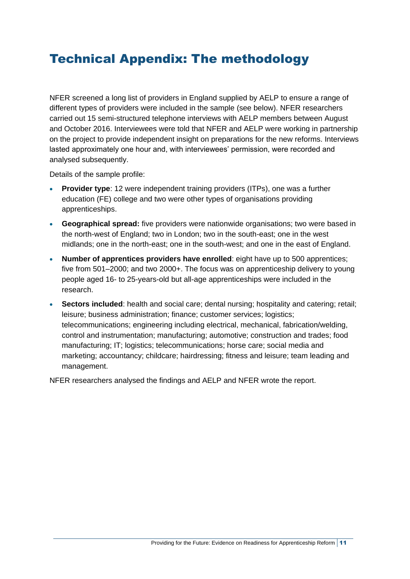## <span id="page-19-0"></span>Technical Appendix: The methodology

NFER screened a long list of providers in England supplied by AELP to ensure a range of different types of providers were included in the sample (see below). NFER researchers carried out 15 semi-structured telephone interviews with AELP members between August and October 2016. Interviewees were told that NFER and AELP were working in partnership on the project to provide independent insight on preparations for the new reforms. Interviews lasted approximately one hour and, with interviewees' permission, were recorded and analysed subsequently.

Details of the sample profile:

- **Provider type**: 12 were independent training providers (ITPs), one was a further education (FE) college and two were other types of organisations providing apprenticeships.
- **Geographical spread:** five providers were nationwide organisations; two were based in the north-west of England; two in London; two in the south-east; one in the west midlands; one in the north-east; one in the south-west; and one in the east of England.
- **Number of apprentices providers have enrolled**: eight have up to 500 apprentices; five from 501–2000; and two 2000+. The focus was on apprenticeship delivery to young people aged 16- to 25-years-old but all-age apprenticeships were included in the research.
- **Sectors included**: health and social care; dental nursing; hospitality and catering; retail; leisure; business administration; finance; customer services; logistics; telecommunications; engineering including electrical, mechanical, fabrication/welding, control and instrumentation; manufacturing; automotive; construction and trades; food manufacturing; IT; logistics; telecommunications; horse care; social media and marketing; accountancy; childcare; hairdressing; fitness and leisure; team leading and management.

NFER researchers analysed the findings and AELP and NFER wrote the report.